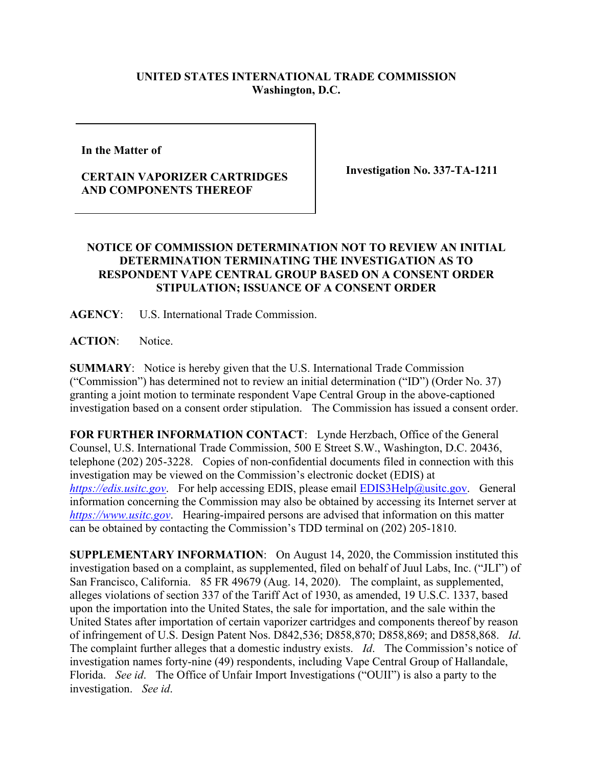## **UNITED STATES INTERNATIONAL TRADE COMMISSION Washington, D.C.**

**In the Matter of** 

## **CERTAIN VAPORIZER CARTRIDGES AND COMPONENTS THEREOF**

**Investigation No. 337-TA-1211**

## **NOTICE OF COMMISSION DETERMINATION NOT TO REVIEW AN INITIAL DETERMINATION TERMINATING THE INVESTIGATION AS TO RESPONDENT VAPE CENTRAL GROUP BASED ON A CONSENT ORDER STIPULATION; ISSUANCE OF A CONSENT ORDER**

**AGENCY**: U.S. International Trade Commission.

**ACTION**: Notice.

**SUMMARY**: Notice is hereby given that the U.S. International Trade Commission ("Commission") has determined not to review an initial determination ("ID") (Order No. 37) granting a joint motion to terminate respondent Vape Central Group in the above-captioned investigation based on a consent order stipulation. The Commission has issued a consent order.

**FOR FURTHER INFORMATION CONTACT**: Lynde Herzbach, Office of the General Counsel, U.S. International Trade Commission, 500 E Street S.W., Washington, D.C. 20436, telephone (202) 205-3228. Copies of non-confidential documents filed in connection with this investigation may be viewed on the Commission's electronic docket (EDIS) at *[https://edis.usitc.gov](https://edis.usitc.gov/).* For help accessing EDIS, please email [EDIS3Help@usitc.gov.](mailto:EDIS3Help@usitc.gov) General information concerning the Commission may also be obtained by accessing its Internet server at *[https://www.usitc.gov](https://www.usitc.gov/)*. Hearing-impaired persons are advised that information on this matter can be obtained by contacting the Commission's TDD terminal on (202) 205-1810.

**SUPPLEMENTARY INFORMATION**: On August 14, 2020, the Commission instituted this investigation based on a complaint, as supplemented, filed on behalf of Juul Labs, Inc. ("JLI") of San Francisco, California. 85 FR 49679 (Aug. 14, 2020). The complaint, as supplemented, alleges violations of section 337 of the Tariff Act of 1930, as amended, 19 U.S.C. 1337, based upon the importation into the United States, the sale for importation, and the sale within the United States after importation of certain vaporizer cartridges and components thereof by reason of infringement of U.S. Design Patent Nos. D842,536; D858,870; D858,869; and D858,868. *Id*. The complaint further alleges that a domestic industry exists. *Id*. The Commission's notice of investigation names forty-nine (49) respondents, including Vape Central Group of Hallandale, Florida. *See id*. The Office of Unfair Import Investigations ("OUII") is also a party to the investigation. *See id*.